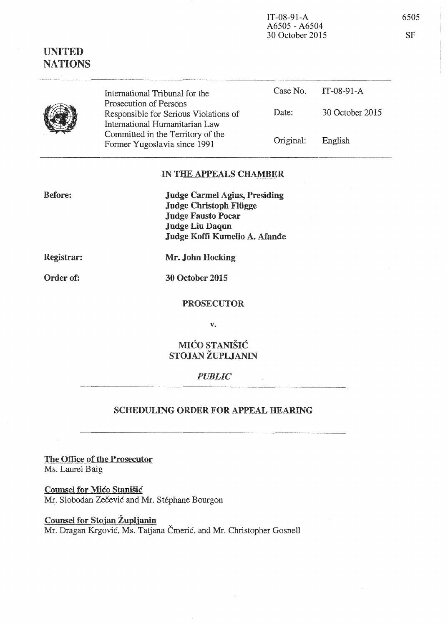| IT-08-91- $A$   | 6505 |
|-----------------|------|
| A6505 - A6504   |      |
| 30 October 2015 | -SF  |

NATIONS



UNITED

International Tribunal for the Prosecution of Persons Responsible for Serious Violations of International Humanitarian Law Committed in the Territory of the Former Yugoslavia since 1991 Case No. IT-08-91-A Date: 30 October 2015 Original: English

## IN THE APPEALS CHAMBER

Judge Carmel Agius, Presiding Judge Christoph Fliigge Judge Fausto Pocar Judge Liu Daqun Judge Koffi Kumelio A. Afande

Registrar:

Before:

Mr. John Hocking

Order of:

30 October 2015

PROSECUTOR

v.

# MICO STANISIC STOJAN ZUPLJANIN

### *PUBLIC*

### SCHEDULING ORDER FOR APPEAL HEARING

The Office of the Prosecutor Ms. Laurel Baig

Counsel for Mico Stanisic Mr. Slobodan Zečević and Mr. Stéphane Bourgon

Counsel for Stojan Župljanin Mr. Dragan Krgović, Ms. Tatjana Čmerić, and Mr. Christopher Gosnell